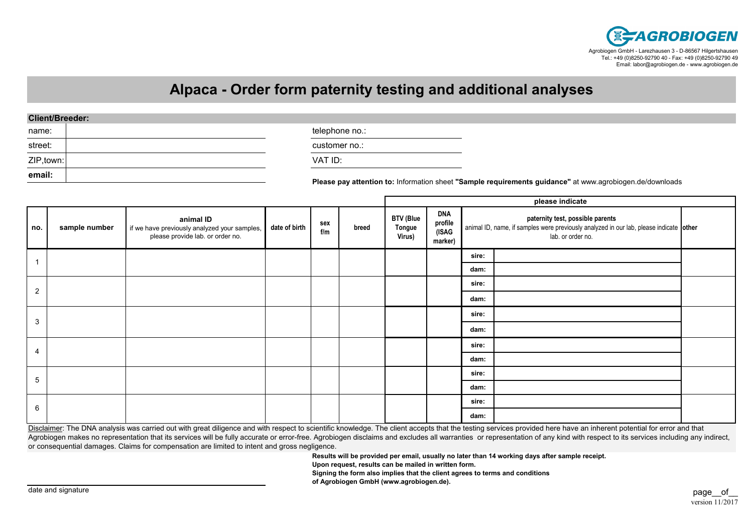

## **Alpaca - Order form paternity testing and additional analyses**

| <b>Client/Breeder:</b> |                |                                                                                                          |
|------------------------|----------------|----------------------------------------------------------------------------------------------------------|
| name:                  | telephone no.: |                                                                                                          |
| street:                | customer no.:  |                                                                                                          |
| ZIP, town:             | VAT ID:        |                                                                                                          |
| email:                 |                | Please pay attention to: Information sheet "Sample requirements guidance" at www.agrobiogen.de/downloads |

|                |               |                                                                                               |               |            |       | please indicate                      |                                           |                                                                                                                                                 |  |  |
|----------------|---------------|-----------------------------------------------------------------------------------------------|---------------|------------|-------|--------------------------------------|-------------------------------------------|-------------------------------------------------------------------------------------------------------------------------------------------------|--|--|
| no.            | sample number | animal ID<br>if we have previously analyzed your samples,<br>please provide lab. or order no. | date of birth | sex<br>f/m | breed | <b>BTV (Blue</b><br>Tongue<br>Virus) | <b>DNA</b><br>profile<br>(ISAG<br>marker) | paternity test, possible parents<br>animal ID, name, if samples were previously analyzed in our lab, please indicate other<br>lab. or order no. |  |  |
| $\mathbf 1$    |               |                                                                                               |               |            |       |                                      |                                           | sire:                                                                                                                                           |  |  |
|                |               |                                                                                               |               |            |       |                                      |                                           | dam:                                                                                                                                            |  |  |
| $\overline{2}$ |               |                                                                                               |               |            |       |                                      |                                           | sire:                                                                                                                                           |  |  |
|                |               |                                                                                               |               |            |       |                                      |                                           | dam:                                                                                                                                            |  |  |
| 3              |               |                                                                                               |               |            |       |                                      |                                           | sire:                                                                                                                                           |  |  |
|                |               |                                                                                               |               |            |       |                                      |                                           | dam:                                                                                                                                            |  |  |
| 4              |               |                                                                                               |               |            |       |                                      |                                           | sire:                                                                                                                                           |  |  |
|                |               |                                                                                               |               |            |       |                                      |                                           | dam:                                                                                                                                            |  |  |
| 5              |               |                                                                                               |               |            |       |                                      | sire:                                     |                                                                                                                                                 |  |  |
|                |               |                                                                                               |               |            |       |                                      | dam:                                      |                                                                                                                                                 |  |  |
| 6              |               |                                                                                               |               |            |       |                                      |                                           | sire:                                                                                                                                           |  |  |
|                |               |                                                                                               |               |            |       |                                      |                                           | dam:                                                                                                                                            |  |  |

Disclaimer: The DNA analysis was carried out with great diligence and with respect to scientific knowledge. The client accepts that the testing services provided here have an inherent potential for error and that Agrobiogen makes no representation that its services will be fully accurate or error-free. Agrobiogen disclaims and excludes all warranties or representation of any kind with respect to its services including any indirect, or consequential damages. Claims for compensation are limited to intent and gross negligence.

**Results will be provided per email, usually no later than 14 working days after sample receipt.**

**Upon request, results can be mailed in written form.**

**Signing the form also implies that the client agrees to terms and conditions**

**of Agrobiogen GmbH (www.agrobiogen.de).**